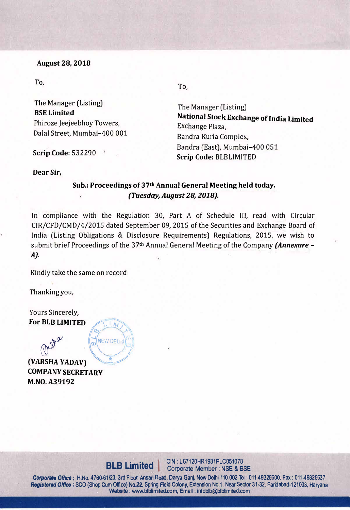### **August 28, 2018**

To,

The Manager (Listing) **BSE Limited**  Phiroze Jeejeebhoy Towers, Dalal Street, Mumbai-400 001

**Scrip Code:** 532290

**To,** 

The Manager (Listing) **National Stock Exchange of India Limited** Exchange Plaza, Bandra Kurla Complex, Bandra (East), Mumbai-400 051 **Scrip Code:** BLBLIMITED

#### **Dear Sir,**

# Sub.: Proceedings of 37<sup>th</sup> Annual General Meeting held today. *{Tuesday, August 28, 2018).*

In compliance with the Regulation 30, Part A of Schedule III, read with Circular CIR/CFD/CMD/4/2015 dated September 09, 2015 of the Securities and Exchange Board of India (Listing Obligations & Disclosure Requirements) Regulations, 2015, we wish to submit brief Proceedings of the 37<sup>th</sup> Annual General Meeting of the Company *(Annexure -A).* 

Kindly take the same on record

 $\sqrt{2}$ 

*Q:) .>-*

NEW DELH

*1* 

**/,......\.. I /i,**1 **<sup>1</sup>**

Thanking you,

Yours Sincerely, For **BLB** LIMITED

**COMPANY SECRETARY (VARSHA YADAV) '** *.!* **/ M.NO. A39192**

**BLB Limited** | CIN: L67120HR1981PLC051078

Corporate Office: H.No. 4760-61/23, 3rd Floor, Ansari Road, Darya Ganj, New Delhi-110 002 Tel: 011-49325600. Fax: 011-49325637<br>Corporate Office: SCO (Shop Cum Office) No.22, Spring Field Colony Extension No.1, Near Sector Corporate Office : H.No. 4760-61/23, 3rd Floor, Ansari Road, Darya Ganj, New Delhi-110 002 Tel : 011-49325600. Fax : 011-49325637<br>Registered Office : SCO (Shop Cum Office) No.22, Spring Field Colony, Extension No.1, Near S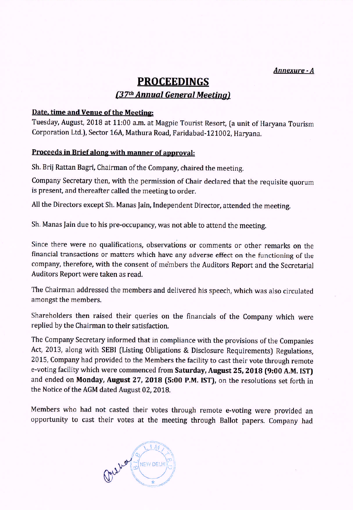Annexure - A

# **PROCEEDINGS** (37th Annual General Meeting)

### Date, time and Venue of the Meeting:

Tuesday, August, 2018 at 11:00 a.m. at Magpie Tourist Resort, (a unit of Haryana Tourism Corporation Ltd.), Sector 16A, Mathura Road, Faridabad-121002, Haryana.

## Proceeds in Brief along with manner of approval:

Sh. Brij Rattan Bagri, Chairman of the Company, chaired the meeting.

Company Secretary then, with the permission of Chair declared that the requisite quorum is present, and thereafter called the meeting to order.

All the Directors except Sh. Manas Jain, Independent Director, attended the meeting.

Sh. Manas Jain due to his pre-occupancy, was not able to attend the meeting.

Since there were no qualifications, observations or comments or other remarks on the financial transactions or matters which have any adverse effect on the functioning of the company, therefore, with the consent of members the Auditors Report and the Secretarial Auditors Report were taken as read.

The Chairman addressed the members and delivered his speech, which was also circulated amongst the members.

Shareholders then raised their queries on the financials of the Company which were replied by the Chairman to their satisfaction.

The Company Secretary informed that in compliance with the provisions of the Companies Act, 2013, along with SEBI (Listing Obligations & Disclosure Requirements) Regulations, 2015, Company had provided to the Members the facility to cast their vote through remote e-voting facility which were commenced from Saturday, August 25, 2018 (9:00 A.M. IST) and ended on Monday, August 27, 2018 (5:00 P.M. IST), on the resolutions set forth in the Notice of the AGM dated August 02, 2018.

Members who had not casted their votes through remote e-voting were provided an opportunity to cast their votes at the meeting through Ballot papers. Company had

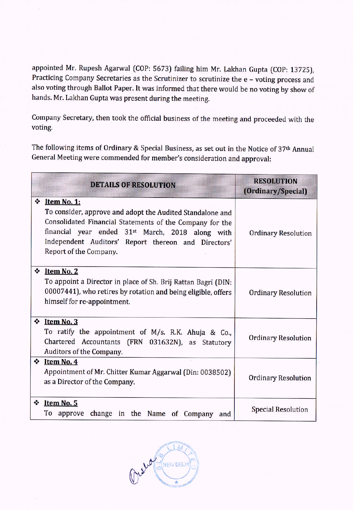appointed Mr. Rupesh Agarwal (COP: 5673) failing him Mr. Lakhan Gupta (COP: 13725), Practicing Company Secretaries as the Scrutinizer to scrutinize the e - voting process and also voting through Ballot Paper. It was informed that there would be no voting by show of hands. Mr. Lakhan Gupta was present during the meeting.

Company Secretary, then took the official business of the meeting and proceeded with the voting.

The following items of Ordinary & Special Business, as set out in the Notice of 37th Annual General Meeting were commended for member's consideration and approval:

|   | <b>DETAILS OF RESOLUTION</b>                                                                                                                                                                                                                                                          | <b>RESOLUTION</b><br>(Ordinary/Special) |
|---|---------------------------------------------------------------------------------------------------------------------------------------------------------------------------------------------------------------------------------------------------------------------------------------|-----------------------------------------|
| ❖ | Item No. 1:<br>To consider, approve and adopt the Audited Standalone and<br>Consolidated Financial Statements of the Company for the<br>financial year ended 31 <sup>st</sup> March, 2018 along with<br>Independent Auditors' Report thereon and Directors'<br>Report of the Company. | <b>Ordinary Resolution</b>              |
| ❖ | Item No. 2<br>To appoint a Director in place of Sh. Brij Rattan Bagri (DIN:<br>00007441), who retires by rotation and being eligible, offers<br>himself for re-appointment.                                                                                                           | <b>Ordinary Resolution</b>              |
| ❖ | Item No. 3<br>To ratify the appointment of M/s. R.K. Ahuja & Co.,<br>Chartered Accountants (FRN 031632N), as Statutory<br>Auditors of the Company.                                                                                                                                    | <b>Ordinary Resolution</b>              |
|   | $\div$ Item No. 4<br>Appointment of Mr. Chitter Kumar Aggarwal (Din: 0038502)<br>as a Director of the Company.                                                                                                                                                                        | <b>Ordinary Resolution</b>              |
|   | $\div$ Item No. 5<br>To approve<br>change in the Name of Company<br>and                                                                                                                                                                                                               | <b>Special Resolution</b>               |